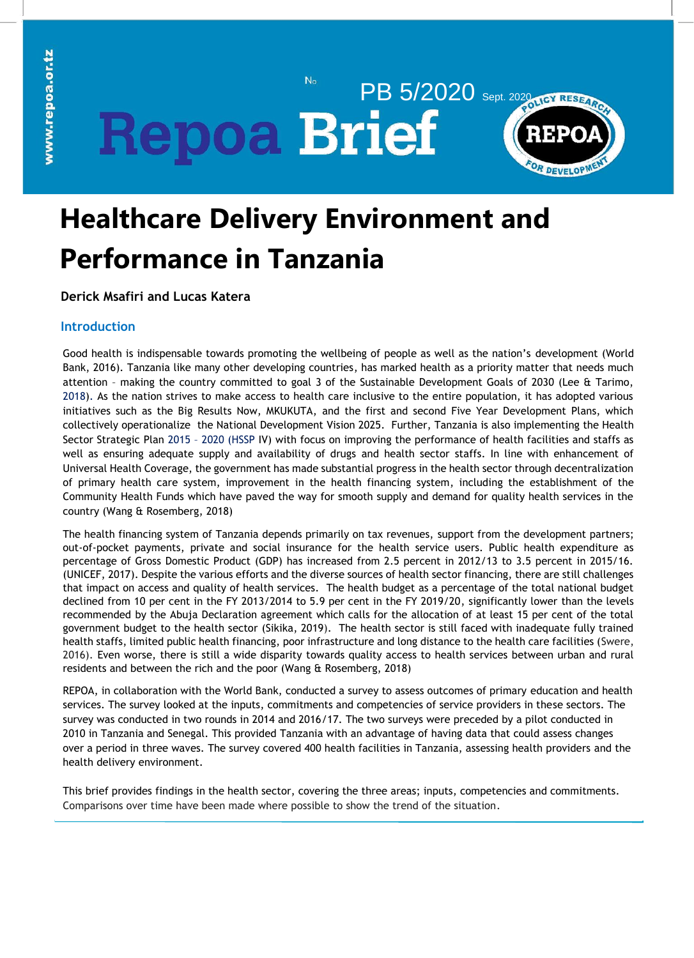**PB 5/2020 Sept. 2020 REPOA** 



# **Healthcare Delivery Environment and Performance in Tanzania**

 $N_{\Omega}$ 

**Derick Msafiri and Lucas Katera** 

# **Introduction**

Good health is indispensable towards promoting the wellbeing of people as well as the nation's development (World Bank, 2016). Tanzania like many other developing countries, has marked health as a priority matter that needs much attention – making the country committed to goal 3 of the Sustainable Development Goals of 2030 (Lee & Tarimo, 2018). As the nation strives to make access to health care inclusive to the entire population, it has adopted various initiatives such as the Big Results Now, MKUKUTA, and the first and second Five Year Development Plans, which collectively operationalize the National Development Vision 2025. Further, Tanzania is also implementing the Health Sector Strategic Plan 2015 – 2020 (HSSP IV) with focus on improving the performance of health facilities and staffs as well as ensuring adequate supply and availability of drugs and health sector staffs. In line with enhancement of Universal Health Coverage, the government has made substantial progress in the health sector through decentralization of primary health care system, improvement in the health financing system, including the establishment of the Community Health Funds which have paved the way for smooth supply and demand for quality health services in the country (Wang & Rosemberg, 2018)

The health financing system of Tanzania depends primarily on tax revenues, support from the development partners; out-of-pocket payments, private and social insurance for the health service users. Public health expenditure as percentage of Gross Domestic Product (GDP) has increased from 2.5 percent in 2012/13 to 3.5 percent in 2015/16. (UNICEF, 2017). Despite the various efforts and the diverse sources of health sector financing, there are still challenges that impact on access and quality of health services. The health budget as a percentage of the total national budget declined from 10 per cent in the FY 2013/2014 to 5.9 per cent in the FY 2019/20, significantly lower than the levels recommended by the Abuja Declaration agreement which calls for the allocation of at least 15 per cent of the total government budget to the health sector (Sikika, 2019). The health sector is still faced with inadequate fully trained health staffs, limited public health financing, poor infrastructure and long distance to the health care facilities (Swere, 2016). Even worse, there is still a wide disparity towards quality access to health services between urban and rural residents and between the rich and the poor (Wang & Rosemberg, 2018)

REPOA, in collaboration with the World Bank, conducted a survey to assess outcomes of primary education and health services. The survey looked at the inputs, commitments and competencies of service providers in these sectors. The survey was conducted in two rounds in 2014 and 2016/17. The two surveys were preceded by a pilot conducted in 2010 in Tanzania and Senegal. This provided Tanzania with an advantage of having data that could assess changes over a period in three waves. The survey covered 400 health facilities in Tanzania, assessing health providers and the health delivery environment.

This brief provides findings in the health sector, covering the three areas; inputs, competencies and commitments. Comparisons over time have been made where possible to show the trend of the situation.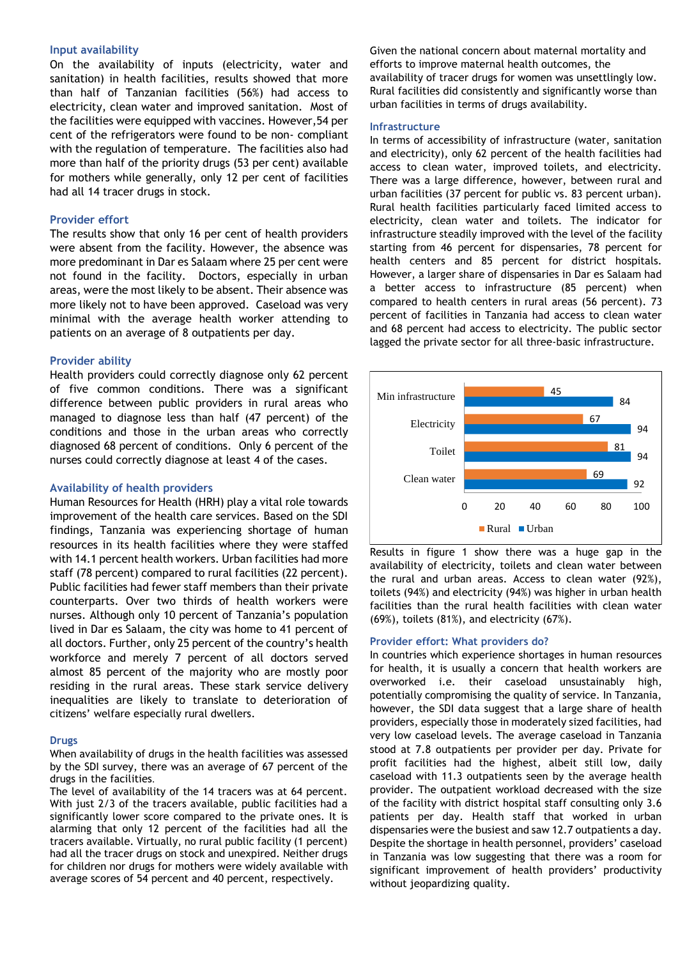# **Input availability**

On the availability of inputs (electricity, water and sanitation) in health facilities, results showed that more than half of Tanzanian facilities (56%) had access to electricity, clean water and improved sanitation. Most of the facilities were equipped with vaccines. However,54 per cent of the refrigerators were found to be non- compliant with the regulation of temperature. The facilities also had more than half of the priority drugs (53 per cent) available for mothers while generally, only 12 per cent of facilities had all 14 tracer drugs in stock.

# **Provider effort**

patients on an average of 8 outpatients per day. The results show that only 16 per cent of health providers were absent from the facility. However, the absence was more predominant in Dar es Salaam where 25 per cent were not found in the facility. Doctors, especially in urban areas, were the most likely to be absent. Their absence was more likely not to have been approved. Caseload was very minimal with the average health worker attending to

### of the provision of  $\mathcal{L}$ **Provider ability**

Health providers could correctly diagnose only 62 percent of five common conditions. There was a significant difference between public providers in rural areas who managed to diagnose less than half (47 percent) of the conditions and those in the urban areas who correctly diagnosed 68 percent of conditions. Only 6 percent of the equid correctly diagnose at nurses could correctly diagnose at least 4 of the cases.

# three government ministries (A1,3,5) was below 50%. One **Availability of health providers**

Human Resources for Health (HRH) play a vital role towards <sub>pre</sub>ntilled improvement of the health care services. Based on the SDI findings, Tanzania was experiencing shortage of human resources in its health facilities where they were staffed with 14.1 percent health workers. Urban facilities had more staff (78 percent) compared to rural facilities (22 percent). Public facilities had fewer staff members than their private counterparts. Over two thirds of health workers were nurses. Although only 10 percent of Tanzania's population lived in Dar es Salaam, the city was home to 41 percent of all doctors. Further, only 25 percent of the country's health workforce and merely 7 percent of all doctors served almost 85 percent of the majority who are mostly poor residing in the rural areas. These stark service delivery inequalities are likely to translate to deterioration of citizens' welfare especially rural dwellers.

#### **Drugs**

When availability of drugs in the health facilities was assessed by the SDI survey, there was an average of 67 percent of the drugs in the facilities.

The level of availability of the 14 tracers was at 64 percent. With just 2/3 of the tracers available, public facilities had a significantly lower score compared to the private ones. It is alarming that only 12 percent of the facilities had all the tracers available. Virtually, no rural public facility (1 percent) had all the tracer drugs on stock and unexpired. Neither drugs for children nor drugs for mothers were widely available with average scores of 54 percent and 40 percent, respectively.

Given the national concern about maternal mortality and efforts to improve maternal health outcomes, the availability of tracer drugs for women was unsettlingly low. Rural facilities did consistently and significantly worse than urban facilities in terms of drugs availability.

#### **Infrastructure**

In terms of accessibility of infrastructure (water, sanitation and electricity), only 62 percent of the health facilities had access to clean water, improved toilets, and electricity. There was a large difference, however, between rural and urban facilities (37 percent for public vs. 83 percent urban). Rural health facilities particularly faced limited access to electricity, clean water and toilets. The indicator for infrastructure steadily improved with the level of the facility starting from 46 percent for dispensaries, 78 percent for health centers and 85 percent for district hospitals. However, a larger share of dispensaries in Dar es Salaam had a better access to infrastructure (85 percent) when compared to health centers in rural areas (56 percent). 73 percent of facilities in Tanzania had access to clean water and 68 percent had access to electricity. The public sector lagged the private sector for all three-basic infrastructure.



Results in figure 1 show there was a huge gap in the availability of electricity, toilets and clean water between the rural and urban areas. Access to clean water (92%), toilets (94%) and electricity (94%) was higher in urban health facilities than the rural health facilities with clean water (69%), toilets (81%), and electricity (67%).

# **Provider effort: What providers do?**

In countries which experience shortages in human resources for health, it is usually a concern that health workers are overworked i.e. their caseload unsustainably high, potentially compromising the quality of service. In Tanzania, however, the SDI data suggest that a large share of health providers, especially those in moderately sized facilities, had very low caseload levels. The average caseload in Tanzania stood at 7.8 outpatients per provider per day. Private for profit facilities had the highest, albeit still low, daily caseload with 11.3 outpatients seen by the average health provider. The outpatient workload decreased with the size of the facility with district hospital staff consulting only 3.6 patients per day. Health staff that worked in urban dispensaries were the busiest and saw 12.7 outpatients a day. Despite the shortage in health personnel, providers' caseload in Tanzania was low suggesting that there was a room for significant improvement of health providers' productivity without jeopardizing quality.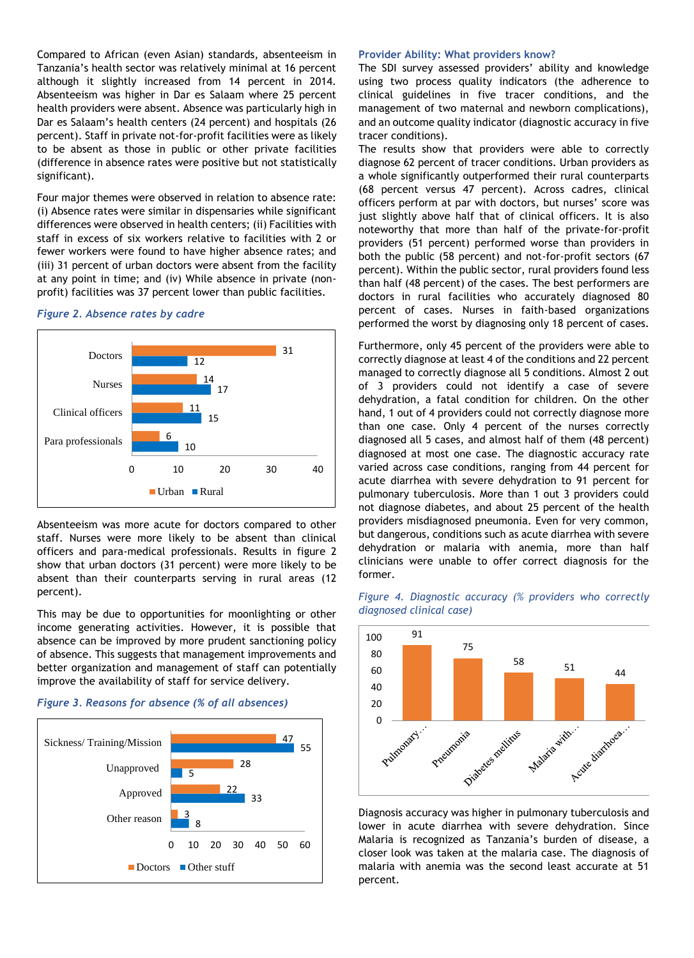Compared to African (even Asian) standards, absenteeism in Tanzania's health sector was relatively minimal at 16 percent although it slightly increased from 14 percent in 2014. Absenteeism was higher in Dar es Salaam where 25 percent health providers were absent. Absence was particularly high in Dar es Salaam's health centers (24 percent) and hospitals (26 percent). Staff in private not-for-profit facilities were as likely to be absent as those in public or other private facilities (difference in absence rates were positive but not statistically significant).

Four major themes were observed in relation to absence rate: (i) Absence rates were similar in dispensaries while significant differences were observed in health centers; (ii) Facilities with staff in excess of six workers relative to facilities with 2 or fewer workers were found to have higher absence rates; and (iii) 31 percent of urban doctors were absent from the facility at any point in time; and (iv) While absence in private (nonprofit) facilities was 37 percent lower than public facilities.

# *Figure 2. Absence rates by cadre*



Absenteeism was more acute for doctors compared to other staff. Nurses were more likely to be absent than clinical officers and para-medical professionals. Results in figure 2 show that urban doctors (31 percent) were more likely to be absent than their counterparts serving in rural areas (12 percent).

This may be due to opportunities for moonlighting or other income generating activities. However, it is possible that absence can be improved by more prudent sanctioning policy of absence. This suggests that management improvements and better organization and management of staff can potentially improve the availability of staff for service delivery.





#### **Provider Ability: What providers know?**

The SDI survey assessed providers' ability and knowledge using two process quality indicators (the adherence to clinical guidelines in five tracer conditions, and the management of two maternal and newborn complications), and an outcome quality indicator (diagnostic accuracy in five tracer conditions).

The results show that providers were able to correctly diagnose 62 percent of tracer conditions. Urban providers as a whole significantly outperformed their rural counterparts (68 percent versus 47 percent). Across cadres, clinical officers perform at par with doctors, but nurses' score was just slightly above half that of clinical officers. It is also noteworthy that more than half of the private-for-profit providers (51 percent) performed worse than providers in both the public (58 percent) and not-for-profit sectors (67 percent). Within the public sector, rural providers found less than half (48 percent) of the cases. The best performers are doctors in rural facilities who accurately diagnosed 80 percent of cases. Nurses in faith-based organizations performed the worst by diagnosing only 18 percent of cases.

Furthermore, only 45 percent of the providers were able to correctly diagnose at least 4 of the conditions and 22 percent managed to correctly diagnose all 5 conditions. Almost 2 out of 3 providers could not identify a case of severe dehydration, a fatal condition for children. On the other hand, 1 out of 4 providers could not correctly diagnose more than one case. Only 4 percent of the nurses correctly diagnosed all 5 cases, and almost half of them (48 percent) diagnosed at most one case. The diagnostic accuracy rate varied across case conditions, ranging from 44 percent for acute diarrhea with severe dehydration to 91 percent for pulmonary tuberculosis. More than 1 out 3 providers could not diagnose diabetes, and about 25 percent of the health providers misdiagnosed pneumonia. Even for very common, but dangerous, conditions such as acute diarrhea with severe dehydration or malaria with anemia, more than half clinicians were unable to offer correct diagnosis for the former.





lower in acute diarrhea with severe dehydration. Since Malaria is recognized as Tanzania's burden of disease, a closer look was taken at the malaria case. The diagnosis of malaria with anemia was the second least accurate at 51 percent.